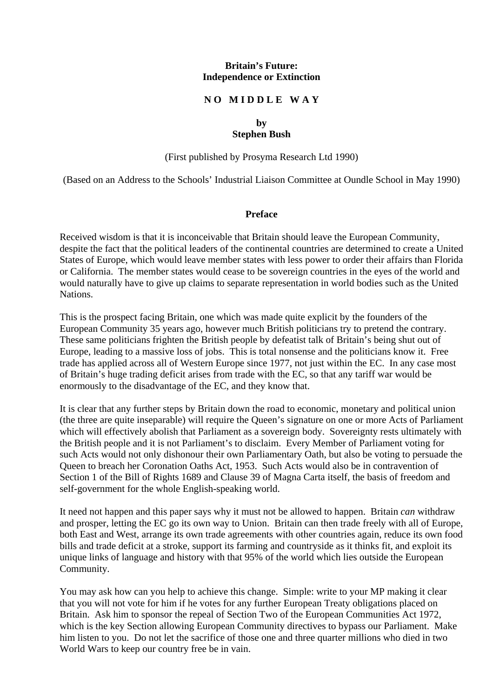#### **Britain's Future: Independence or Extinction**

#### **N O M I D D L E W A Y**

#### **by Stephen Bush**

(First published by Prosyma Research Ltd 1990)

(Based on an Address to the Schools' Industrial Liaison Committee at Oundle School in May 1990)

#### **Preface**

Received wisdom is that it is inconceivable that Britain should leave the European Community, despite the fact that the political leaders of the continental countries are determined to create a United States of Europe, which would leave member states with less power to order their affairs than Florida or California. The member states would cease to be sovereign countries in the eyes of the world and would naturally have to give up claims to separate representation in world bodies such as the United Nations.

This is the prospect facing Britain, one which was made quite explicit by the founders of the European Community 35 years ago, however much British politicians try to pretend the contrary. These same politicians frighten the British people by defeatist talk of Britain's being shut out of Europe, leading to a massive loss of jobs. This is total nonsense and the politicians know it. Free trade has applied across all of Western Europe since 1977, not just within the EC. In any case most of Britain's huge trading deficit arises from trade with the EC, so that any tariff war would be enormously to the disadvantage of the EC, and they know that.

It is clear that any further steps by Britain down the road to economic, monetary and political union (the three are quite inseparable) will require the Queen's signature on one or more Acts of Parliament which will effectively abolish that Parliament as a sovereign body. Sovereignty rests ultimately with the British people and it is not Parliament's to disclaim. Every Member of Parliament voting for such Acts would not only dishonour their own Parliamentary Oath, but also be voting to persuade the Queen to breach her Coronation Oaths Act, 1953. Such Acts would also be in contravention of Section 1 of the Bill of Rights 1689 and Clause 39 of Magna Carta itself, the basis of freedom and self-government for the whole English-speaking world.

It need not happen and this paper says why it must not be allowed to happen. Britain *can* withdraw and prosper, letting the EC go its own way to Union. Britain can then trade freely with all of Europe, both East and West, arrange its own trade agreements with other countries again, reduce its own food bills and trade deficit at a stroke, support its farming and countryside as it thinks fit, and exploit its unique links of language and history with that 95% of the world which lies outside the European Community.

You may ask how can you help to achieve this change. Simple: write to your MP making it clear that you will not vote for him if he votes for any further European Treaty obligations placed on Britain. Ask him to sponsor the repeal of Section Two of the European Communities Act 1972, which is the key Section allowing European Community directives to bypass our Parliament. Make him listen to you. Do not let the sacrifice of those one and three quarter millions who died in two World Wars to keep our country free be in vain.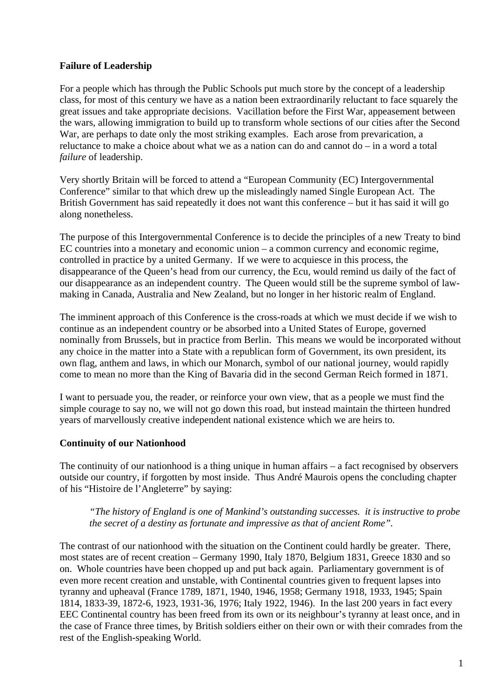## **Failure of Leadership**

For a people which has through the Public Schools put much store by the concept of a leadership class, for most of this century we have as a nation been extraordinarily reluctant to face squarely the great issues and take appropriate decisions. Vacillation before the First War, appeasement between the wars, allowing immigration to build up to transform whole sections of our cities after the Second War, are perhaps to date only the most striking examples. Each arose from prevarication, a reluctance to make a choice about what we as a nation can do and cannot do – in a word a total *failure* of leadership.

Very shortly Britain will be forced to attend a "European Community (EC) Intergovernmental Conference" similar to that which drew up the misleadingly named Single European Act. The British Government has said repeatedly it does not want this conference – but it has said it will go along nonetheless.

The purpose of this Intergovernmental Conference is to decide the principles of a new Treaty to bind EC countries into a monetary and economic union – a common currency and economic regime, controlled in practice by a united Germany. If we were to acquiesce in this process, the disappearance of the Queen's head from our currency, the Ecu, would remind us daily of the fact of our disappearance as an independent country. The Queen would still be the supreme symbol of lawmaking in Canada, Australia and New Zealand, but no longer in her historic realm of England.

The imminent approach of this Conference is the cross-roads at which we must decide if we wish to continue as an independent country or be absorbed into a United States of Europe, governed nominally from Brussels, but in practice from Berlin. This means we would be incorporated without any choice in the matter into a State with a republican form of Government, its own president, its own flag, anthem and laws, in which our Monarch, symbol of our national journey, would rapidly come to mean no more than the King of Bavaria did in the second German Reich formed in 1871.

I want to persuade you, the reader, or reinforce your own view, that as a people we must find the simple courage to say no, we will not go down this road, but instead maintain the thirteen hundred years of marvellously creative independent national existence which we are heirs to.

## **Continuity of our Nationhood**

The continuity of our nationhood is a thing unique in human affairs – a fact recognised by observers outside our country, if forgotten by most inside. Thus André Maurois opens the concluding chapter of his "Histoire de l'Angleterre" by saying:

#### *"The history of England is one of Mankind's outstanding successes. it is instructive to probe the secret of a destiny as fortunate and impressive as that of ancient Rome".*

The contrast of our nationhood with the situation on the Continent could hardly be greater. There, most states are of recent creation – Germany 1990, Italy 1870, Belgium 1831, Greece 1830 and so on. Whole countries have been chopped up and put back again. Parliamentary government is of even more recent creation and unstable, with Continental countries given to frequent lapses into tyranny and upheaval (France 1789, 1871, 1940, 1946, 1958; Germany 1918, 1933, 1945; Spain 1814, 1833-39, 1872-6, 1923, 1931-36, 1976; Italy 1922, 1946). In the last 200 years in fact every EEC Continental country has been freed from its own or its neighbour's tyranny at least once, and in the case of France three times, by British soldiers either on their own or with their comrades from the rest of the English-speaking World.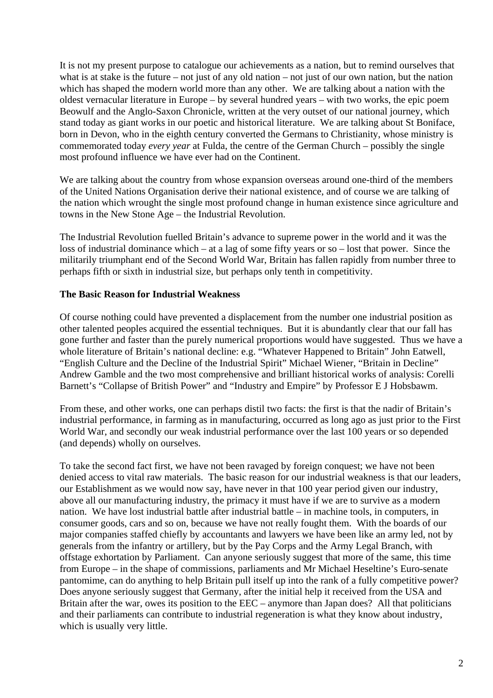It is not my present purpose to catalogue our achievements as a nation, but to remind ourselves that what is at stake is the future – not just of any old nation – not just of our own nation, but the nation which has shaped the modern world more than any other. We are talking about a nation with the oldest vernacular literature in Europe – by several hundred years – with two works, the epic poem Beowulf and the Anglo-Saxon Chronicle, written at the very outset of our national journey, which stand today as giant works in our poetic and historical literature. We are talking about St Boniface, born in Devon, who in the eighth century converted the Germans to Christianity, whose ministry is commemorated today *every year* at Fulda, the centre of the German Church – possibly the single most profound influence we have ever had on the Continent.

We are talking about the country from whose expansion overseas around one-third of the members of the United Nations Organisation derive their national existence, and of course we are talking of the nation which wrought the single most profound change in human existence since agriculture and towns in the New Stone Age – the Industrial Revolution.

The Industrial Revolution fuelled Britain's advance to supreme power in the world and it was the loss of industrial dominance which – at a lag of some fifty years or so – lost that power. Since the militarily triumphant end of the Second World War, Britain has fallen rapidly from number three to perhaps fifth or sixth in industrial size, but perhaps only tenth in competitivity.

## **The Basic Reason for Industrial Weakness**

Of course nothing could have prevented a displacement from the number one industrial position as other talented peoples acquired the essential techniques. But it is abundantly clear that our fall has gone further and faster than the purely numerical proportions would have suggested. Thus we have a whole literature of Britain's national decline: e.g. "Whatever Happened to Britain" John Eatwell, "English Culture and the Decline of the Industrial Spirit" Michael Wiener, "Britain in Decline" Andrew Gamble and the two most comprehensive and brilliant historical works of analysis: Corelli Barnett's "Collapse of British Power" and "Industry and Empire" by Professor E J Hobsbawm.

From these, and other works, one can perhaps distil two facts: the first is that the nadir of Britain's industrial performance, in farming as in manufacturing, occurred as long ago as just prior to the First World War, and secondly our weak industrial performance over the last 100 years or so depended (and depends) wholly on ourselves.

To take the second fact first, we have not been ravaged by foreign conquest; we have not been denied access to vital raw materials. The basic reason for our industrial weakness is that our leaders, our Establishment as we would now say, have never in that 100 year period given our industry, above all our manufacturing industry, the primacy it must have if we are to survive as a modern nation. We have lost industrial battle after industrial battle – in machine tools, in computers, in consumer goods, cars and so on, because we have not really fought them. With the boards of our major companies staffed chiefly by accountants and lawyers we have been like an army led, not by generals from the infantry or artillery, but by the Pay Corps and the Army Legal Branch, with offstage exhortation by Parliament. Can anyone seriously suggest that more of the same, this time from Europe – in the shape of commissions, parliaments and Mr Michael Heseltine's Euro-senate pantomime, can do anything to help Britain pull itself up into the rank of a fully competitive power? Does anyone seriously suggest that Germany, after the initial help it received from the USA and Britain after the war, owes its position to the EEC – anymore than Japan does? All that politicians and their parliaments can contribute to industrial regeneration is what they know about industry, which is usually very little.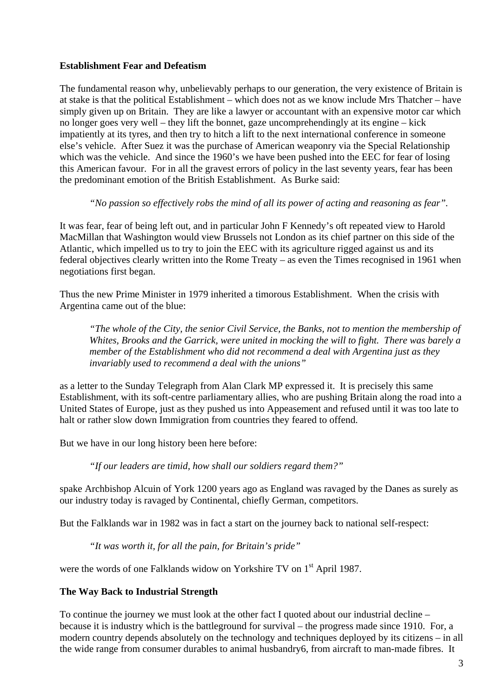# **Establishment Fear and Defeatism**

The fundamental reason why, unbelievably perhaps to our generation, the very existence of Britain is at stake is that the political Establishment – which does not as we know include Mrs Thatcher – have simply given up on Britain. They are like a lawyer or accountant with an expensive motor car which no longer goes very well – they lift the bonnet, gaze uncomprehendingly at its engine – kick impatiently at its tyres, and then try to hitch a lift to the next international conference in someone else's vehicle. After Suez it was the purchase of American weaponry via the Special Relationship which was the vehicle. And since the 1960's we have been pushed into the EEC for fear of losing this American favour. For in all the gravest errors of policy in the last seventy years, fear has been the predominant emotion of the British Establishment. As Burke said:

## *"No passion so effectively robs the mind of all its power of acting and reasoning as fear".*

It was fear, fear of being left out, and in particular John F Kennedy's oft repeated view to Harold MacMillan that Washington would view Brussels not London as its chief partner on this side of the Atlantic, which impelled us to try to join the EEC with its agriculture rigged against us and its federal objectives clearly written into the Rome Treaty – as even the Times recognised in 1961 when negotiations first began.

Thus the new Prime Minister in 1979 inherited a timorous Establishment. When the crisis with Argentina came out of the blue:

*"The whole of the City, the senior Civil Service, the Banks, not to mention the membership of Whites, Brooks and the Garrick, were united in mocking the will to fight. There was barely a member of the Establishment who did not recommend a deal with Argentina just as they invariably used to recommend a deal with the unions"* 

as a letter to the Sunday Telegraph from Alan Clark MP expressed it. It is precisely this same Establishment, with its soft-centre parliamentary allies, who are pushing Britain along the road into a United States of Europe, just as they pushed us into Appeasement and refused until it was too late to halt or rather slow down Immigration from countries they feared to offend.

But we have in our long history been here before:

*"If our leaders are timid, how shall our soldiers regard them?"*

spake Archbishop Alcuin of York 1200 years ago as England was ravaged by the Danes as surely as our industry today is ravaged by Continental, chiefly German, competitors.

But the Falklands war in 1982 was in fact a start on the journey back to national self-respect:

*"It was worth it, for all the pain, for Britain's pride"*

were the words of one Falklands widow on Yorkshire TV on 1<sup>st</sup> April 1987.

## **The Way Back to Industrial Strength**

To continue the journey we must look at the other fact I quoted about our industrial decline – because it is industry which is the battleground for survival – the progress made since 1910. For, a modern country depends absolutely on the technology and techniques deployed by its citizens – in all the wide range from consumer durables to animal husbandry6, from aircraft to man-made fibres. It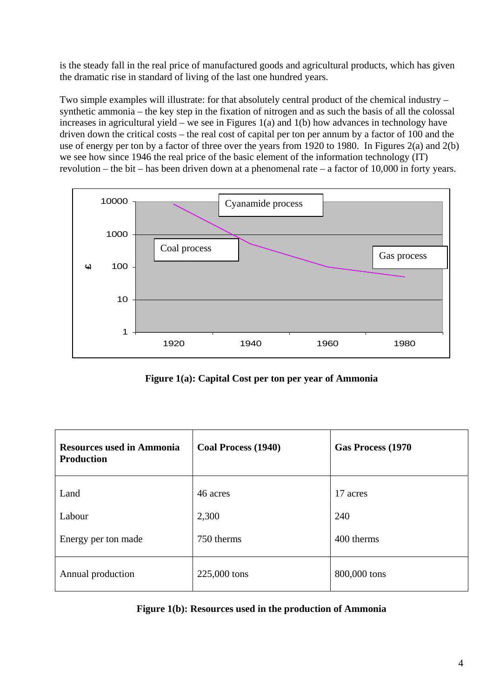is the steady fall in the real price of manufactured goods and agricultural products, which has given the dramatic rise in standard of living of the last one hundred years.

Two simple examples will illustrate: for that absolutely central product of the chemical industry – synthetic ammonia – the key step in the fixation of nitrogen and as such the basis of all the colossal increases in agricultural yield – we see in Figures 1(a) and 1(b) how advances in technology have driven down the critical costs – the real cost of capital per ton per annum by a factor of 100 and the use of energy per ton by a factor of three over the years from 1920 to 1980. In Figures 2(a) and 2(b) we see how since 1946 the real price of the basic element of the information technology (IT) revolution – the bit – has been driven down at a phenomenal rate – a factor of 10,000 in forty years.



**Figure 1(a): Capital Cost per ton per year of Ammonia**

| <b>Resources used in Ammonia</b><br><b>Production</b> | <b>Coal Process (1940)</b> | Gas Process (1970) |  |
|-------------------------------------------------------|----------------------------|--------------------|--|
| Land                                                  | 46 acres                   | 17 acres           |  |
| Labour                                                | 2,300                      | 240                |  |
| Energy per ton made                                   | 750 therms                 | 400 therms         |  |
| Annual production                                     | 225,000 tons               | 800,000 tons       |  |

| Figure 1(b): Resources used in the production of Ammonia |
|----------------------------------------------------------|
|----------------------------------------------------------|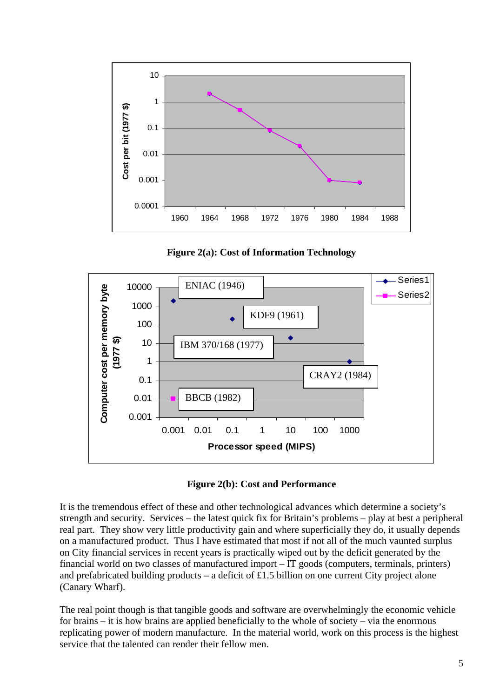







It is the tremendous effect of these and other technological advances which determine a society's strength and security. Services – the latest quick fix for Britain's problems – play at best a peripheral real part. They show very little productivity gain and where superficially they do, it usually depends on a manufactured product. Thus I have estimated that most if not all of the much vaunted surplus on City financial services in recent years is practically wiped out by the deficit generated by the financial world on two classes of manufactured import – IT goods (computers, terminals, printers) and prefabricated building products – a deficit of £1.5 billion on one current City project alone (Canary Wharf).

The real point though is that tangible goods and software are overwhelmingly the economic vehicle for brains – it is how brains are applied beneficially to the whole of society – via the enormous replicating power of modern manufacture. In the material world, work on this process is the highest service that the talented can render their fellow men.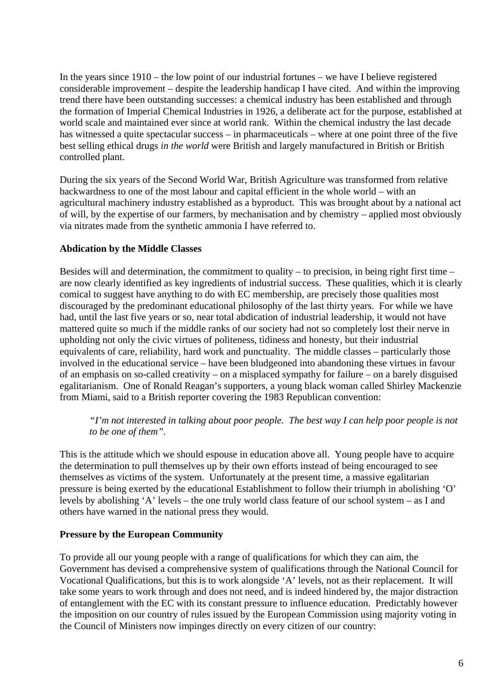In the years since 1910 – the low point of our industrial fortunes – we have I believe registered considerable improvement – despite the leadership handicap I have cited. And within the improving trend there have been outstanding successes: a chemical industry has been established and through the formation of Imperial Chemical Industries in 1926, a deliberate act for the purpose, established at world scale and maintained ever since at world rank. Within the chemical industry the last decade has witnessed a quite spectacular success – in pharmaceuticals – where at one point three of the five best selling ethical drugs *in the world* were British and largely manufactured in British or British controlled plant.

During the six years of the Second World War, British Agriculture was transformed from relative backwardness to one of the most labour and capital efficient in the whole world – with an agricultural machinery industry established as a byproduct. This was brought about by a national act of will, by the expertise of our farmers, by mechanisation and by chemistry – applied most obviously via nitrates made from the synthetic ammonia I have referred to.

## **Abdication by the Middle Classes**

Besides will and determination, the commitment to quality – to precision, in being right first time – are now clearly identified as key ingredients of industrial success. These qualities, which it is clearly comical to suggest have anything to do with EC membership, are precisely those qualities most discouraged by the predominant educational philosophy of the last thirty years. For while we have had, until the last five years or so, near total abdication of industrial leadership, it would not have mattered quite so much if the middle ranks of our society had not so completely lost their nerve in upholding not only the civic virtues of politeness, tidiness and honesty, but their industrial equivalents of care, reliability, hard work and punctuality. The middle classes – particularly those involved in the educational service – have been bludgeoned into abandoning these virtues in favour of an emphasis on so-called creativity – on a misplaced sympathy for failure – on a barely disguised egalitarianism. One of Ronald Reagan's supporters, a young black woman called Shirley Mackenzie from Miami, said to a British reporter covering the 1983 Republican convention:

# *"I'm not interested in talking about poor people. The best way I can help poor people is not to be one of them".*

This is the attitude which we should espouse in education above all. Young people have to acquire the determination to pull themselves up by their own efforts instead of being encouraged to see themselves as victims of the system. Unfortunately at the present time, a massive egalitarian pressure is being exerted by the educational Establishment to follow their triumph in abolishing 'O' levels by abolishing 'A' levels – the one truly world class feature of our school system – as I and others have warned in the national press they would.

## **Pressure by the European Community**

To provide all our young people with a range of qualifications for which they can aim, the Government has devised a comprehensive system of qualifications through the National Council for Vocational Qualifications, but this is to work alongside 'A' levels, not as their replacement. It will take some years to work through and does not need, and is indeed hindered by, the major distraction of entanglement with the EC with its constant pressure to influence education. Predictably however the imposition on our country of rules issued by the European Commission using majority voting in the Council of Ministers now impinges directly on every citizen of our country: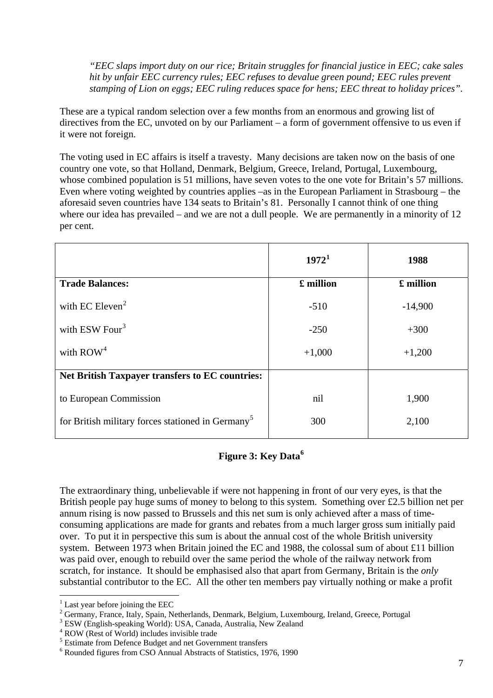*"EEC slaps import duty on our rice; Britain struggles for financial justice in EEC; cake sales hit by unfair EEC currency rules; EEC refuses to devalue green pound; EEC rules prevent stamping of Lion on eggs; EEC ruling reduces space for hens; EEC threat to holiday prices".* 

These are a typical random selection over a few months from an enormous and growing list of directives from the EC, unvoted on by our Parliament – a form of government offensive to us even if it were not foreign.

The voting used in EC affairs is itself a travesty. Many decisions are taken now on the basis of one country one vote, so that Holland, Denmark, Belgium, Greece, Ireland, Portugal, Luxembourg, whose combined population is 51 millions, have seven votes to the one vote for Britain's 57 millions. Even where voting weighted by countries applies –as in the European Parliament in Strasbourg – the aforesaid seven countries have 134 seats to Britain's 81. Personally I cannot think of one thing where our idea has prevailed – and we are not a dull people. We are permanently in a minority of 12 per cent.

|                                                               | $1972^1$  | 1988      |
|---------------------------------------------------------------|-----------|-----------|
| <b>Trade Balances:</b>                                        | £ million | £ million |
| with EC Eleven <sup>2</sup>                                   | $-510$    | $-14,900$ |
| with ESW Four <sup>3</sup>                                    | $-250$    | $+300$    |
| with $ROW4$                                                   | $+1,000$  | $+1,200$  |
| <b>Net British Taxpayer transfers to EC countries:</b>        |           |           |
| to European Commission                                        | nil       | 1,900     |
| for British military forces stationed in Germany <sup>5</sup> | 300       | 2,100     |

# **Figure 3: Key Data[6](#page-7-5)**

The extraordinary thing, unbelievable if were not happening in front of our very eyes, is that the British people pay huge sums of money to belong to this system. Something over £2.5 billion net per annum rising is now passed to Brussels and this net sum is only achieved after a mass of timeconsuming applications are made for grants and rebates from a much larger gross sum initially paid over. To put it in perspective this sum is about the annual cost of the whole British university system. Between 1973 when Britain joined the EC and 1988, the colossal sum of about £11 billion was paid over, enough to rebuild over the same period the whole of the railway network from scratch, for instance. It should be emphasised also that apart from Germany, Britain is the *only* substantial contributor to the EC. All the other ten members pay virtually nothing or make a profit

 $\overline{a}$ 

 $<sup>1</sup>$  Last year before joining the EEC</sup>

<span id="page-7-1"></span><span id="page-7-0"></span><sup>&</sup>lt;sup>2</sup> Germany, France, Italy, Spain, Netherlands, Denmark, Belgium, Luxembourg, Ireland, Greece, Portugal 3 ESW (Finalish appeliate World): USA, Geneda, Australia New Zeeland

<span id="page-7-2"></span>ESW (English-speaking World): USA, Canada, Australia, New Zealand

<span id="page-7-3"></span><sup>4</sup> ROW (Rest of World) includes invisible trade

<span id="page-7-4"></span><sup>&</sup>lt;sup>5</sup> Estimate from Defence Budget and net Government transfers

<span id="page-7-5"></span><sup>6</sup> Rounded figures from CSO Annual Abstracts of Statistics, 1976, 1990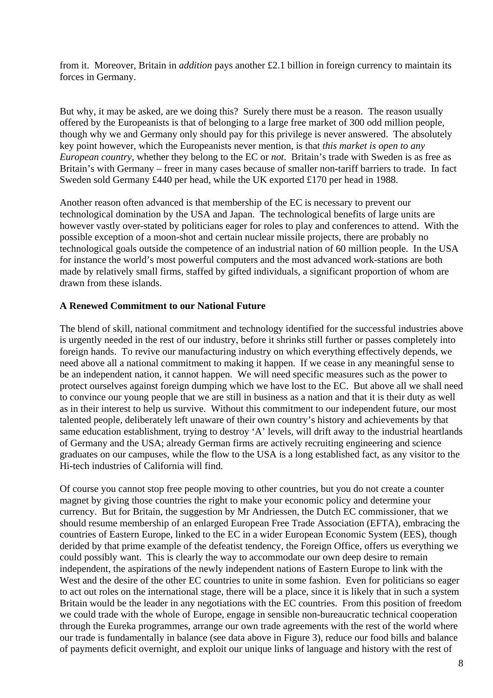from it. Moreover, Britain in *addition* pays another £2.1 billion in foreign currency to maintain its forces in Germany.

But why, it may be asked, are we doing this? Surely there must be a reason. The reason usually offered by the Europeanists is that of belonging to a large free market of 300 odd million people, though why we and Germany only should pay for this privilege is never answered. The absolutely key point however, which the Europeanists never mention, is that *this market is open to any European country,* whether they belong to the EC or *not*. Britain's trade with Sweden is as free as Britain's with Germany – freer in many cases because of smaller non-tariff barriers to trade. In fact Sweden sold Germany £440 per head, while the UK exported £170 per head in 1988.

Another reason often advanced is that membership of the EC is necessary to prevent our technological domination by the USA and Japan. The technological benefits of large units are however vastly over-stated by politicians eager for roles to play and conferences to attend. With the possible exception of a moon-shot and certain nuclear missile projects, there are probably no technological goals outside the competence of an industrial nation of 60 million people. In the USA for instance the world's most powerful computers and the most advanced work-stations are both made by relatively small firms, staffed by gifted individuals, a significant proportion of whom are drawn from these islands.

## **A Renewed Commitment to our National Future**

The blend of skill, national commitment and technology identified for the successful industries above is urgently needed in the rest of our industry, before it shrinks still further or passes completely into foreign hands. To revive our manufacturing industry on which everything effectively depends, we need above all a national commitment to making it happen. If we cease in any meaningful sense to be an independent nation, it cannot happen. We will need specific measures such as the power to protect ourselves against foreign dumping which we have lost to the EC. But above all we shall need to convince our young people that we are still in business as a nation and that it is their duty as well as in their interest to help us survive. Without this commitment to our independent future, our most talented people, deliberately left unaware of their own country's history and achievements by that same education establishment, trying to destroy 'A' levels, will drift away to the industrial heartlands of Germany and the USA; already German firms are actively recruiting engineering and science graduates on our campuses, while the flow to the USA is a long established fact, as any visitor to the Hi-tech industries of California will find.

Of course you cannot stop free people moving to other countries, but you do not create a counter magnet by giving those countries the right to make your economic policy and determine your currency. But for Britain, the suggestion by Mr Andriessen, the Dutch EC commissioner, that we should resume membership of an enlarged European Free Trade Association (EFTA), embracing the countries of Eastern Europe, linked to the EC in a wider European Economic System (EES), though derided by that prime example of the defeatist tendency, the Foreign Office, offers us everything we could possibly want. This is clearly the way to accommodate our own deep desire to remain independent, the aspirations of the newly independent nations of Eastern Europe to link with the West and the desire of the other EC countries to unite in some fashion. Even for politicians so eager to act out roles on the international stage, there will be a place, since it is likely that in such a system Britain would be the leader in any negotiations with the EC countries. From this position of freedom we could trade with the whole of Europe, engage in sensible non-bureaucratic technical cooperation through the Eureka programmes, arrange our own trade agreements with the rest of the world where our trade is fundamentally in balance (see data above in Figure 3), reduce our food bills and balance of payments deficit overnight, and exploit our unique links of language and history with the rest of